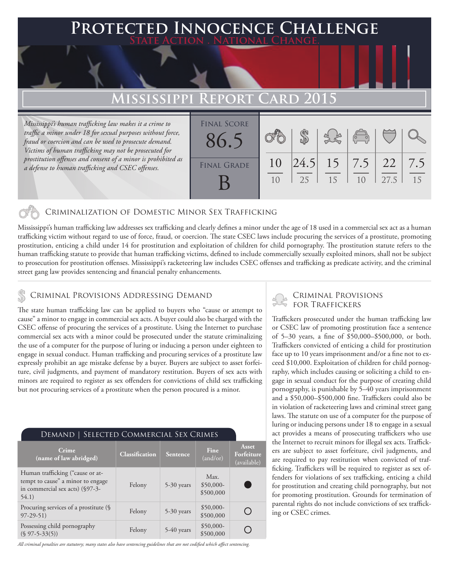### **FD INNOCENCE CHALLENGE State Action . National Change.**

### **Mississippi Report Card 2015**

*Mississippi's human trafficking law makes it a crime to traffic a minor under 18 for sexual purposes without force, fraud or coercion and can be used to prosecute demand. Victims of human trafficking may not be prosecuted for prostitution offenses and consent of a minor is prohibited as a defense to human trafficking and CSEC offenses.*

| <b>FINAL SCORE</b> |                |    |    |                                                |      |     |
|--------------------|----------------|----|----|------------------------------------------------|------|-----|
| 86.5               |                |    |    | $\begin{pmatrix} 0 & 0 \\ 0 & 0 \end{pmatrix}$ |      |     |
|                    |                |    |    |                                                |      |     |
| <b>FINAL GRADE</b> | 10             |    |    |                                                |      | 7.5 |
|                    | 1 <sub>0</sub> | 25 | 15 | 1 <sub>0</sub>                                 | 27.5 | 15  |
|                    |                |    |    |                                                |      |     |

#### Criminalization of Domestic Minor Sex Trafficking

Mississippi's human trafficking law addresses sex trafficking and clearly defines a minor under the age of 18 used in a commercial sex act as a human trafficking victim without regard to use of force, fraud, or coercion. The state CSEC laws include procuring the services of a prostitute, promoting prostitution, enticing a child under 14 for prostitution and exploitation of children for child pornography. The prostitution statute refers to the human trafficking statute to provide that human trafficking victims, defined to include commercially sexually exploited minors, shall not be subject to prosecution for prostitution offenses. Mississippi's racketeering law includes CSEC offenses and trafficking as predicate activity, and the criminal street gang law provides sentencing and financial penalty enhancements.

### Criminal Provisions Addressing Demand

The state human trafficking law can be applied to buyers who "cause or attempt to cause" a minor to engage in commercial sex acts. A buyer could also be charged with the CSEC offense of procuring the services of a prostitute. Using the Internet to purchase commercial sex acts with a minor could be prosecuted under the statute criminalizing the use of a computer for the purpose of luring or inducing a person under eighteen to engage in sexual conduct. Human trafficking and procuring services of a prostitute law expressly prohibit an age mistake defense by a buyer. Buyers are subject to asset forfeiture, civil judgments, and payment of mandatory restitution. Buyers of sex acts with minors are required to register as sex offenders for convictions of child sex trafficking but not procuring services of a prostitute when the person procured is a minor.

| DEMAND   SELECTED COMMERCIAL SEX CRIMES                                                                           |                |              |                                 |                                    |  |  |  |  |
|-------------------------------------------------------------------------------------------------------------------|----------------|--------------|---------------------------------|------------------------------------|--|--|--|--|
| Crime<br>(name of law abridged)                                                                                   | Classification | Sentence     | Fine<br>(and/or)                | Asset<br>Forfeiture<br>(available) |  |  |  |  |
| Human trafficking ("cause or at-<br>tempt to cause" a minor to engage<br>in commercial sex acts) (§97-3-<br>54.1) | Felony         | 5-30 years   | Max.<br>$$50,000-$<br>\$500,000 |                                    |  |  |  |  |
| Procuring services of a prostitute (§<br>$97-29-51$                                                               | Felony         | 5-30 years   | $$50,000-$<br>\$500,000         |                                    |  |  |  |  |
| Possessing child pornography<br>$(S 97 - 5 - 33(5))$                                                              | Felony         | $5-40$ years | $$50,000-$<br>\$500,000         |                                    |  |  |  |  |

*All criminal penalties are statutory; many states also have sentencing guidelines that are not codified which affect sentencing.* 

# Criminal Provisions

Traffickers prosecuted under the human trafficking law or CSEC law of promoting prostitution face a sentence of 5–30 years, a fine of \$50,000–\$500,000, or both. Traffickers convicted of enticing a child for prostitution face up to 10 years imprisonment and/or a fine not to exceed \$10,000. Exploitation of children for child pornography, which includes causing or soliciting a child to engage in sexual conduct for the purpose of creating child pornography, is punishable by 5–40 years imprisonment and a \$50,000–\$500,000 fine. Traffickers could also be in violation of racketeering laws and criminal street gang laws. The statute on use of a computer for the purpose of luring or inducing persons under 18 to engage in a sexual act provides a means of prosecuting traffickers who use the Internet to recruit minors for illegal sex acts. Traffickers are subject to asset forfeiture, civil judgments, and are required to pay restitution when convicted of trafficking. Traffickers will be required to register as sex offenders for violations of sex trafficking, enticing a child for prostitution and creating child pornography, but not for promoting prostitution. Grounds for termination of parental rights do not include convictions of sex trafficking or CSEC crimes.